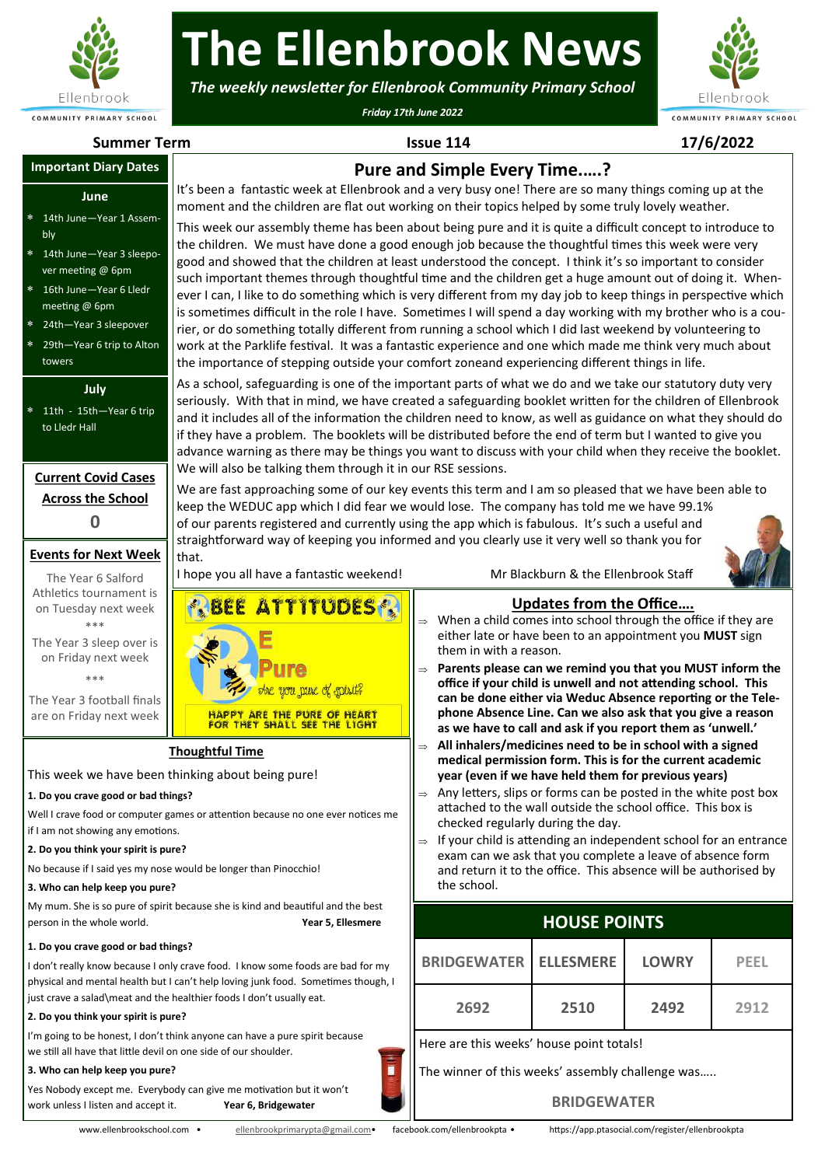

# **The Ellenbrook News**

*The weekly newsletter for Ellenbrook Community Primary School*

*Friday 17th June 2022*



**Summer Term Issue 114 17/6/2022**

#### **June**

- 14th June—Year 1 Assembly
- 14th June—Year 3 sleepover meeting @ 6pm
- 16th June—Year 6 Lledr meeting @ 6pm
- 24th—Year 3 sleepover
- 29th—Year 6 trip to Alton
- towers

#### **July**

### **Current Covid Cases Across the School 0**

#### **Events for Next Week**

## **Thoughtful Time**

#### **1. Do you crave good or bad things?**

#### **2. Do you think your spirit is pure?**

#### **3. Who can help keep you pure?**

#### **1. Do you crave good or bad things?**

#### **2. Do you think your spirit is pure?**

#### **3. Who can help keep you pure?**



### **Updates from the Office….**

- When a child comes into school through the office if they are either late or have been to an appointment you **MUST** sign them in with a reason.
- **Parents please can we remind you that you MUST inform the office if your child is unwell and not attending school. This can be done either via Weduc Absence reporting or the Telephone Absence Line. Can we also ask that you give a reason as we have to call and ask if you report them as 'unwell.'**
- **All inhalers/medicines need to be in school with a signed medical permission form. This is for the current academic year (even if we have held them for previous years)**
- $\Rightarrow$  Any letters, slips or forms can be posted in the white post box attached to the wall outside the school office. This box is checked regularly during the day.
- $\Rightarrow$  If your child is attending an independent school for an entrance exam can we ask that you complete a leave of absence form and return it to the office. This absence will be authorised by the school.

### **HOUSE POINTS**

| <b>Important Diary Dates</b>                                                                                                                                                                                                                                                                                                                                                                                                                                           | Pure and Simple Every Time?                                                                                                                                                                                                                                                                                                                                                                                                                                                                                                                                                                                                                                                                                                                                                                                                                                                                                                                                                                                                                                                                                                                                                                                                                                                                                                                                                                                                                                                                                                                                                                                                                                                                                                                                                                                                                                                                                                                                                                                                                                                                                                                                                                                                                                                                                                                                      |                                                                                                                                                                                                                                                                                                                                                                                                                                                                                                                                                                                                                                                                      |                                |              |             |  |
|------------------------------------------------------------------------------------------------------------------------------------------------------------------------------------------------------------------------------------------------------------------------------------------------------------------------------------------------------------------------------------------------------------------------------------------------------------------------|------------------------------------------------------------------------------------------------------------------------------------------------------------------------------------------------------------------------------------------------------------------------------------------------------------------------------------------------------------------------------------------------------------------------------------------------------------------------------------------------------------------------------------------------------------------------------------------------------------------------------------------------------------------------------------------------------------------------------------------------------------------------------------------------------------------------------------------------------------------------------------------------------------------------------------------------------------------------------------------------------------------------------------------------------------------------------------------------------------------------------------------------------------------------------------------------------------------------------------------------------------------------------------------------------------------------------------------------------------------------------------------------------------------------------------------------------------------------------------------------------------------------------------------------------------------------------------------------------------------------------------------------------------------------------------------------------------------------------------------------------------------------------------------------------------------------------------------------------------------------------------------------------------------------------------------------------------------------------------------------------------------------------------------------------------------------------------------------------------------------------------------------------------------------------------------------------------------------------------------------------------------------------------------------------------------------------------------------------------------|----------------------------------------------------------------------------------------------------------------------------------------------------------------------------------------------------------------------------------------------------------------------------------------------------------------------------------------------------------------------------------------------------------------------------------------------------------------------------------------------------------------------------------------------------------------------------------------------------------------------------------------------------------------------|--------------------------------|--------------|-------------|--|
| June<br>14th June-Year 1 Assem-<br>bly<br>14th June-Year 3 sleepo-<br>ver meeting @ 6pm<br>16th June-Year 6 Lledr<br>meeting @ 6pm<br>24th-Year 3 sleepover                                                                                                                                                                                                                                                                                                            | It's been a fantastic week at Ellenbrook and a very busy one! There are so many things coming up at the<br>moment and the children are flat out working on their topics helped by some truly lovely weather.<br>This week our assembly theme has been about being pure and it is quite a difficult concept to introduce to<br>the children. We must have done a good enough job because the thoughtful times this week were very<br>good and showed that the children at least understood the concept. I think it's so important to consider<br>such important themes through thoughtful time and the children get a huge amount out of doing it. When-<br>ever I can, I like to do something which is very different from my day job to keep things in perspective which<br>is sometimes difficult in the role I have. Sometimes I will spend a day working with my brother who is a cou-<br>rier, or do something totally different from running a school which I did last weekend by volunteering to<br>work at the Parklife festival. It was a fantastic experience and one which made me think very much about<br>the importance of stepping outside your comfort zoneand experiencing different things in life.<br>As a school, safeguarding is one of the important parts of what we do and we take our statutory duty very<br>seriously. With that in mind, we have created a safeguarding booklet written for the children of Ellenbrook<br>and it includes all of the information the children need to know, as well as guidance on what they should do<br>if they have a problem. The booklets will be distributed before the end of term but I wanted to give you<br>advance warning as there may be things you want to discuss with your child when they receive the booklet.<br>We will also be talking them through it in our RSE sessions.<br>We are fast approaching some of our key events this term and I am so pleased that we have been able to<br>keep the WEDUC app which I did fear we would lose. The company has told me we have 99.1%<br>of our parents registered and currently using the app which is fabulous. It's such a useful and<br>straightforward way of keeping you informed and you clearly use it very well so thank you for<br>that.<br>Mr Blackburn & the Ellenbrook Staff<br>I hope you all have a fantastic weekend! |                                                                                                                                                                                                                                                                                                                                                                                                                                                                                                                                                                                                                                                                      |                                |              |             |  |
| 29th-Year 6 trip to Alton<br>towers<br>July<br>11th - 15th-Year 6 trip<br>to Lledr Hall<br><b>Current Covid Cases</b><br><b>Across the School</b>                                                                                                                                                                                                                                                                                                                      |                                                                                                                                                                                                                                                                                                                                                                                                                                                                                                                                                                                                                                                                                                                                                                                                                                                                                                                                                                                                                                                                                                                                                                                                                                                                                                                                                                                                                                                                                                                                                                                                                                                                                                                                                                                                                                                                                                                                                                                                                                                                                                                                                                                                                                                                                                                                                                  |                                                                                                                                                                                                                                                                                                                                                                                                                                                                                                                                                                                                                                                                      |                                |              |             |  |
| O<br><b>Events for Next Week</b><br>The Year 6 Salford                                                                                                                                                                                                                                                                                                                                                                                                                 |                                                                                                                                                                                                                                                                                                                                                                                                                                                                                                                                                                                                                                                                                                                                                                                                                                                                                                                                                                                                                                                                                                                                                                                                                                                                                                                                                                                                                                                                                                                                                                                                                                                                                                                                                                                                                                                                                                                                                                                                                                                                                                                                                                                                                                                                                                                                                                  |                                                                                                                                                                                                                                                                                                                                                                                                                                                                                                                                                                                                                                                                      |                                |              |             |  |
| Athletics tournament is<br>on Tuesday next week<br>***<br>The Year 3 sleep over is<br>on Friday next week<br>***<br>The Year 3 football finals<br>are on Friday next week                                                                                                                                                                                                                                                                                              | <b>REEE ATTITUDESR</b><br>you pare of spirit?<br>HAPPY ARE THE PURE OF HEART<br>FOR THEY SHALL SEE THE LIGHT                                                                                                                                                                                                                                                                                                                                                                                                                                                                                                                                                                                                                                                                                                                                                                                                                                                                                                                                                                                                                                                                                                                                                                                                                                                                                                                                                                                                                                                                                                                                                                                                                                                                                                                                                                                                                                                                                                                                                                                                                                                                                                                                                                                                                                                     | When a child comes into school through the office if they are<br>either late or have been to an appointment you MUST sign<br>them in with a reason.<br>Parents please can we remind you that you MUST inform the<br>office if your child is unwell and not attending school. This<br>can be done either via Weduc Absence reporting or the Tele-<br>phone Absence Line. Can we also ask that you give a reason                                                                                                                                                                                                                                                       | <b>Updates from the Office</b> |              |             |  |
| <b>Thoughtful Time</b><br>This week we have been thinking about being pure!<br>. Do you crave good or bad things?<br>Vell I crave food or computer games or attention because no one ever notices me<br>I am not showing any emotions.<br>. Do you think your spirit is pure?<br>Jo because if I said yes my nose would be longer than Pinocchio!<br>3. Who can help keep you pure?<br>My mum. She is so pure of spirit because she is kind and beautiful and the best |                                                                                                                                                                                                                                                                                                                                                                                                                                                                                                                                                                                                                                                                                                                                                                                                                                                                                                                                                                                                                                                                                                                                                                                                                                                                                                                                                                                                                                                                                                                                                                                                                                                                                                                                                                                                                                                                                                                                                                                                                                                                                                                                                                                                                                                                                                                                                                  | as we have to call and ask if you report them as 'unwell.'<br>All inhalers/medicines need to be in school with a signed<br>medical permission form. This is for the current academic<br>year (even if we have held them for previous years)<br>$\Rightarrow$ Any letters, slips or forms can be posted in the white post box<br>attached to the wall outside the school office. This box is<br>checked regularly during the day.<br>If your child is attending an independent school for an entrance<br>$\Rightarrow$<br>exam can we ask that you complete a leave of absence form<br>and return it to the office. This absence will be authorised by<br>the school. |                                |              |             |  |
| erson in the whole world.<br>Year 5, Ellesmere                                                                                                                                                                                                                                                                                                                                                                                                                         |                                                                                                                                                                                                                                                                                                                                                                                                                                                                                                                                                                                                                                                                                                                                                                                                                                                                                                                                                                                                                                                                                                                                                                                                                                                                                                                                                                                                                                                                                                                                                                                                                                                                                                                                                                                                                                                                                                                                                                                                                                                                                                                                                                                                                                                                                                                                                                  | <b>HOUSE POINTS</b>                                                                                                                                                                                                                                                                                                                                                                                                                                                                                                                                                                                                                                                  |                                |              |             |  |
| Do you crave good or bad things?<br>don't really know because I only crave food. I know some foods are bad for my<br>hysical and mental health but I can't help loving junk food. Sometimes though, I<br>ust crave a salad\meat and the healthier foods I don't usually eat.                                                                                                                                                                                           |                                                                                                                                                                                                                                                                                                                                                                                                                                                                                                                                                                                                                                                                                                                                                                                                                                                                                                                                                                                                                                                                                                                                                                                                                                                                                                                                                                                                                                                                                                                                                                                                                                                                                                                                                                                                                                                                                                                                                                                                                                                                                                                                                                                                                                                                                                                                                                  | <b>BRIDGEWATER</b>                                                                                                                                                                                                                                                                                                                                                                                                                                                                                                                                                                                                                                                   | <b>ELLESMERE</b>               | <b>LOWRY</b> | <b>PEEL</b> |  |
| . Do you think your spirit is pure?                                                                                                                                                                                                                                                                                                                                                                                                                                    |                                                                                                                                                                                                                                                                                                                                                                                                                                                                                                                                                                                                                                                                                                                                                                                                                                                                                                                                                                                                                                                                                                                                                                                                                                                                                                                                                                                                                                                                                                                                                                                                                                                                                                                                                                                                                                                                                                                                                                                                                                                                                                                                                                                                                                                                                                                                                                  | 2692                                                                                                                                                                                                                                                                                                                                                                                                                                                                                                                                                                                                                                                                 | 2510                           | 2492         | 2912        |  |
| 'm going to be honest, I don't think anyone can have a pure spirit because<br>ve still all have that little devil on one side of our shoulder.<br>i<br>3. Who can help keep you pure?<br>'es Nobody except me. Everybody can give me motivation but it won't<br>vork unless I listen and accept it.<br>Year 6, Bridgewater                                                                                                                                             |                                                                                                                                                                                                                                                                                                                                                                                                                                                                                                                                                                                                                                                                                                                                                                                                                                                                                                                                                                                                                                                                                                                                                                                                                                                                                                                                                                                                                                                                                                                                                                                                                                                                                                                                                                                                                                                                                                                                                                                                                                                                                                                                                                                                                                                                                                                                                                  | Here are this weeks' house point totals!<br>The winner of this weeks' assembly challenge was<br><b>BRIDGEWATER</b>                                                                                                                                                                                                                                                                                                                                                                                                                                                                                                                                                   |                                |              |             |  |

#### **BRIDGEWATER**